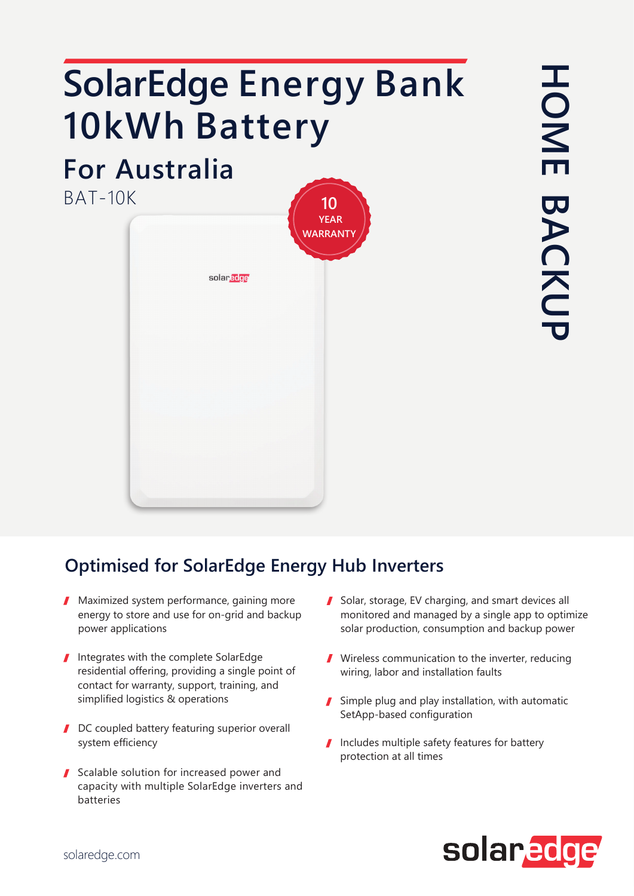## **SolarEdge Energy Bank** 10kWh Battery

## **For Australia**

 $BAT-10K$ 



## **Optimised for SolarEdge Energy Hub Inverters**

- ▲ Maximized system performance, gaining more energy to store and use for on-grid and backup power applications
- Integrates with the complete SolarEdge residential offering, providing a single point of contact for warranty, support, training, and simplified logistics & operations
- DC coupled battery featuring superior overall system efficiency
- Scalable solution for increased power and capacity with multiple SolarEdge inverters and batteries
- Solar, storage, EV charging, and smart devices all monitored and managed by a single app to optimize solar production, consumption and backup power
- Wireless communication to the inverter, reducing wiring, labor and installation faults
- Simple plug and play installation, with automatic SetApp-based configuration
- Includes multiple safety features for battery protection at all times